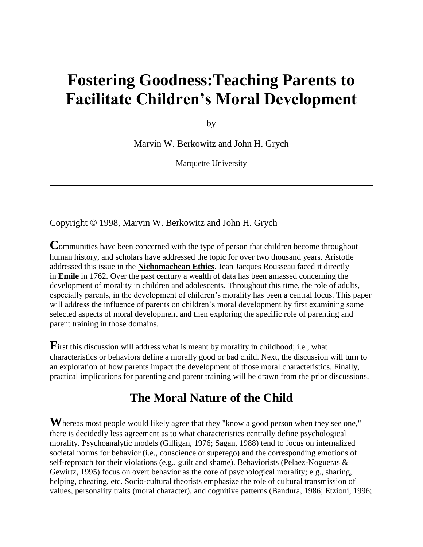# **Fostering Goodness:Teaching Parents to Facilitate Children's Moral Development**

by

Marvin W. Berkowitz and John H. Grych

Marquette University

Copyright © 1998, Marvin W. Berkowitz and John H. Grych

**C**ommunities have been concerned with the type of person that children become throughout human history, and scholars have addressed the topic for over two thousand years. Aristotle addressed this issue in the **Nichomachean Ethics**. Jean Jacques Rousseau faced it directly in **Emile** in 1762. Over the past century a wealth of data has been amassed concerning the development of morality in children and adolescents. Throughout this time, the role of adults, especially parents, in the development of children's morality has been a central focus. This paper will address the influence of parents on children's moral development by first examining some selected aspects of moral development and then exploring the specific role of parenting and parent training in those domains.

**F**irst this discussion will address what is meant by morality in childhood; i.e., what characteristics or behaviors define a morally good or bad child. Next, the discussion will turn to an exploration of how parents impact the development of those moral characteristics. Finally, practical implications for parenting and parent training will be drawn from the prior discussions.

#### **The Moral Nature of the Child**

Whereas most people would likely agree that they "know a good person when they see one," there is decidedly less agreement as to what characteristics centrally define psychological morality. Psychoanalytic models (Gilligan, 1976; Sagan, 1988) tend to focus on internalized societal norms for behavior (i.e., conscience or superego) and the corresponding emotions of self-reproach for their violations (e.g., guilt and shame). Behaviorists (Pelaez-Nogueras & Gewirtz, 1995) focus on overt behavior as the core of psychological morality; e.g., sharing, helping, cheating, etc. Socio-cultural theorists emphasize the role of cultural transmission of values, personality traits (moral character), and cognitive patterns (Bandura, 1986; Etzioni, 1996;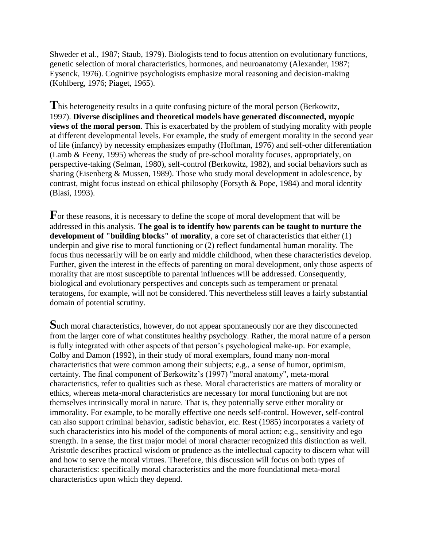Shweder et al., 1987; Staub, 1979). Biologists tend to focus attention on evolutionary functions, genetic selection of moral characteristics, hormones, and neuroanatomy (Alexander, 1987; Eysenck, 1976). Cognitive psychologists emphasize moral reasoning and decision-making (Kohlberg, 1976; Piaget, 1965).

**T**his heterogeneity results in a quite confusing picture of the moral person (Berkowitz, 1997). **Diverse disciplines and theoretical models have generated disconnected, myopic views of the moral person**. This is exacerbated by the problem of studying morality with people at different developmental levels. For example, the study of emergent morality in the second year of life (infancy) by necessity emphasizes empathy (Hoffman, 1976) and self-other differentiation (Lamb & Feeny, 1995) whereas the study of pre-school morality focuses, appropriately, on perspective-taking (Selman, 1980), self-control (Berkowitz, 1982), and social behaviors such as sharing (Eisenberg & Mussen, 1989). Those who study moral development in adolescence, by contrast, might focus instead on ethical philosophy (Forsyth & Pope, 1984) and moral identity (Blasi, 1993).

For these reasons, it is necessary to define the scope of moral development that will be addressed in this analysis. **The goal is to identify how parents can be taught to nurture the development of "building blocks" of morality**, a core set of characteristics that either (1) underpin and give rise to moral functioning or (2) reflect fundamental human morality. The focus thus necessarily will be on early and middle childhood, when these characteristics develop. Further, given the interest in the effects of parenting on moral development, only those aspects of morality that are most susceptible to parental influences will be addressed. Consequently, biological and evolutionary perspectives and concepts such as temperament or prenatal teratogens, for example, will not be considered. This nevertheless still leaves a fairly substantial domain of potential scrutiny.

Such moral characteristics, however, do not appear spontaneously nor are they disconnected from the larger core of what constitutes healthy psychology. Rather, the moral nature of a person is fully integrated with other aspects of that person's psychological make-up. For example, Colby and Damon (1992), in their study of moral exemplars, found many non-moral characteristics that were common among their subjects; e.g., a sense of humor, optimism, certainty. The final component of Berkowitz's (1997) "moral anatomy", meta-moral characteristics, refer to qualities such as these. Moral characteristics are matters of morality or ethics, whereas meta-moral characteristics are necessary for moral functioning but are not themselves intrinsically moral in nature. That is, they potentially serve either morality or immorality. For example, to be morally effective one needs self-control. However, self-control can also support criminal behavior, sadistic behavior, etc. Rest (1985) incorporates a variety of such characteristics into his model of the components of moral action; e.g., sensitivity and ego strength. In a sense, the first major model of moral character recognized this distinction as well. Aristotle describes practical wisdom or prudence as the intellectual capacity to discern what will and how to serve the moral virtues. Therefore, this discussion will focus on both types of characteristics: specifically moral characteristics and the more foundational meta-moral characteristics upon which they depend.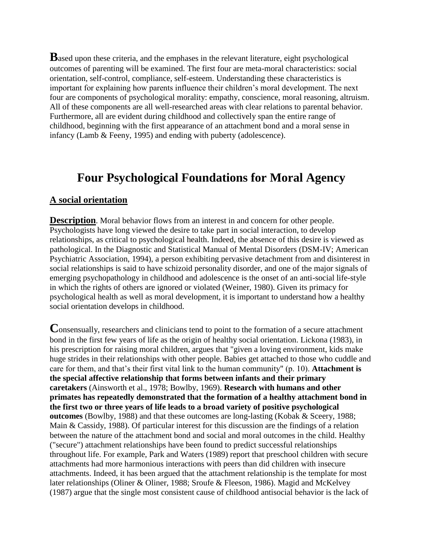**B**ased upon these criteria, and the emphases in the relevant literature, eight psychological outcomes of parenting will be examined. The first four are meta-moral characteristics: social orientation, self-control, compliance, self-esteem. Understanding these characteristics is important for explaining how parents influence their children's moral development. The next four are components of psychological morality: empathy, conscience, moral reasoning, altruism. All of these components are all well-researched areas with clear relations to parental behavior. Furthermore, all are evident during childhood and collectively span the entire range of childhood, beginning with the first appearance of an attachment bond and a moral sense in infancy (Lamb & Feeny, 1995) and ending with puberty (adolescence).

#### **Four Psychological Foundations for Moral Agency**

#### **A social orientation**

**Description**. Moral behavior flows from an interest in and concern for other people. Psychologists have long viewed the desire to take part in social interaction, to develop relationships, as critical to psychological health. Indeed, the absence of this desire is viewed as pathological. In the Diagnostic and Statistical Manual of Mental Disorders (DSM-IV; American Psychiatric Association, 1994), a person exhibiting pervasive detachment from and disinterest in social relationships is said to have schizoid personality disorder, and one of the major signals of emerging psychopathology in childhood and adolescence is the onset of an anti-social life-style in which the rights of others are ignored or violated (Weiner, 1980). Given its primacy for psychological health as well as moral development, it is important to understand how a healthy social orientation develops in childhood.

**C**onsensually, researchers and clinicians tend to point to the formation of a secure attachment bond in the first few years of life as the origin of healthy social orientation. Lickona (1983), in his prescription for raising moral children, argues that "given a loving environment, kids make huge strides in their relationships with other people. Babies get attached to those who cuddle and care for them, and that's their first vital link to the human community" (p. 10). **Attachment is the special affective relationship that forms between infants and their primary caretakers** (Ainsworth et al., 1978; Bowlby, 1969). **Research with humans and other primates has repeatedly demonstrated that the formation of a healthy attachment bond in the first two or three years of life leads to a broad variety of positive psychological outcomes** (Bowlby, 1988) and that these outcomes are long-lasting (Kobak & Sceery, 1988; Main & Cassidy, 1988). Of particular interest for this discussion are the findings of a relation between the nature of the attachment bond and social and moral outcomes in the child. Healthy ("secure") attachment relationships have been found to predict successful relationships throughout life. For example, Park and Waters (1989) report that preschool children with secure attachments had more harmonious interactions with peers than did children with insecure attachments. Indeed, it has been argued that the attachment relationship is the template for most later relationships (Oliner & Oliner, 1988; Sroufe & Fleeson, 1986). Magid and McKelvey (1987) argue that the single most consistent cause of childhood antisocial behavior is the lack of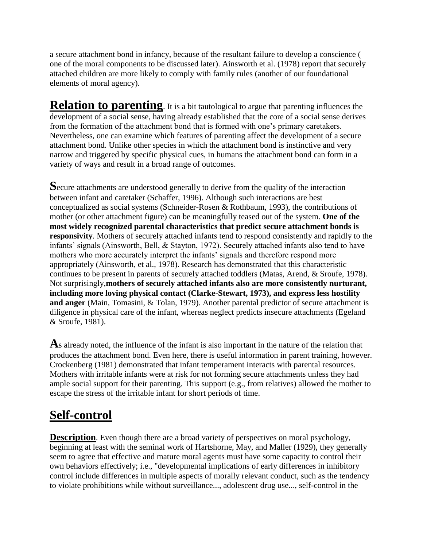a secure attachment bond in infancy, because of the resultant failure to develop a conscience ( one of the moral components to be discussed later). Ainsworth et al. (1978) report that securely attached children are more likely to comply with family rules (another of our foundational elements of moral agency).

**Relation to parenting**. It is a bit tautological to argue that parenting influences the development of a social sense, having already established that the core of a social sense derives from the formation of the attachment bond that is formed with one's primary caretakers. Nevertheless, one can examine which features of parenting affect the development of a secure attachment bond. Unlike other species in which the attachment bond is instinctive and very narrow and triggered by specific physical cues, in humans the attachment bond can form in a variety of ways and result in a broad range of outcomes.

**S**ecure attachments are understood generally to derive from the quality of the interaction between infant and caretaker (Schaffer, 1996). Although such interactions are best conceptualized as social systems (Schneider-Rosen & Rothbaum, 1993), the contributions of mother (or other attachment figure) can be meaningfully teased out of the system. **One of the most widely recognized parental characteristics that predict secure attachment bonds is responsivity**. Mothers of securely attached infants tend to respond consistently and rapidly to the infants' signals (Ainsworth, Bell, & Stayton, 1972). Securely attached infants also tend to have mothers who more accurately interpret the infants' signals and therefore respond more appropriately (Ainsworth, et al., 1978). Research has demonstrated that this characteristic continues to be present in parents of securely attached toddlers (Matas, Arend, & Sroufe, 1978). Not surprisingly,**mothers of securely attached infants also are more consistently nurturant, including more loving physical contact (Clarke-Stewart, 1973), and express less hostility and anger** (Main, Tomasini, & Tolan, 1979). Another parental predictor of secure attachment is diligence in physical care of the infant, whereas neglect predicts insecure attachments (Egeland & Sroufe, 1981).

**A**s already noted, the influence of the infant is also important in the nature of the relation that produces the attachment bond. Even here, there is useful information in parent training, however. Crockenberg (1981) demonstrated that infant temperament interacts with parental resources. Mothers with irritable infants were at risk for not forming secure attachments unless they had ample social support for their parenting. This support (e.g., from relatives) allowed the mother to escape the stress of the irritable infant for short periods of time.

## **Self-control**

**Description**. Even though there are a broad variety of perspectives on moral psychology, beginning at least with the seminal work of Hartshorne, May, and Maller (1929), they generally seem to agree that effective and mature moral agents must have some capacity to control their own behaviors effectively; i.e., "developmental implications of early differences in inhibitory control include differences in multiple aspects of morally relevant conduct, such as the tendency to violate prohibitions while without surveillance..., adolescent drug use..., self-control in the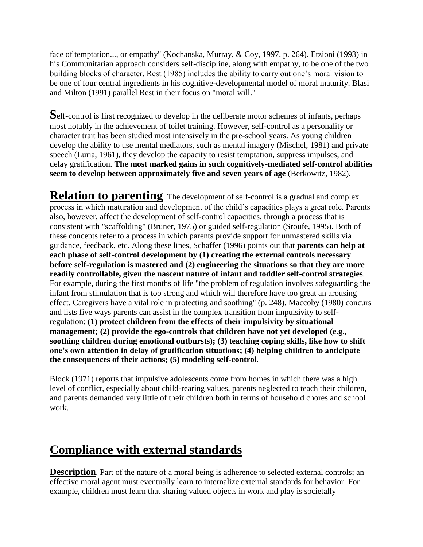face of temptation..., or empathy" (Kochanska, Murray, & Coy, 1997, p. 264). Etzioni (1993) in his Communitarian approach considers self-discipline, along with empathy, to be one of the two building blocks of character. Rest (1985) includes the ability to carry out one's moral vision to be one of four central ingredients in his cognitive-developmental model of moral maturity. Blasi and Milton (1991) parallel Rest in their focus on "moral will."

**S**elf-control is first recognized to develop in the deliberate motor schemes of infants, perhaps most notably in the achievement of toilet training. However, self-control as a personality or character trait has been studied most intensively in the pre-school years. As young children develop the ability to use mental mediators, such as mental imagery (Mischel, 1981) and private speech (Luria, 1961), they develop the capacity to resist temptation, suppress impulses, and delay gratification. **The most marked gains in such cognitively-mediated self-control abilities seem to develop between approximately five and seven years of age** (Berkowitz, 1982).

**Relation to parenting**. The development of self-control is a gradual and complex process in which maturation and development of the child's capacities plays a great role. Parents also, however, affect the development of self-control capacities, through a process that is consistent with "scaffolding" (Bruner, 1975) or guided self-regulation (Sroufe, 1995). Both of these concepts refer to a process in which parents provide support for unmastered skills via guidance, feedback, etc. Along these lines, Schaffer (1996) points out that **parents can help at each phase of self-control development by (1) creating the external controls necessary before self-regulation is mastered and (2) engineering the situations so that they are more readily controllable, given the nascent nature of infant and toddler self-control strategies**. For example, during the first months of life "the problem of regulation involves safeguarding the infant from stimulation that is too strong and which will therefore have too great an arousing effect. Caregivers have a vital role in protecting and soothing" (p. 248). Maccoby (1980) concurs and lists five ways parents can assist in the complex transition from impulsivity to selfregulation: **(1) protect children from the effects of their impulsivity by situational management; (2) provide the ego-controls that children have not yet developed (e.g., soothing children during emotional outbursts); (3) teaching coping skills, like how to shift one's own attention in delay of gratification situations; (4) helping children to anticipate the consequences of their actions; (5) modeling self-contro**l.

Block (1971) reports that impulsive adolescents come from homes in which there was a high level of conflict, especially about child-rearing values, parents neglected to teach their children, and parents demanded very little of their children both in terms of household chores and school work.

## **Compliance with external standards**

**Description**. Part of the nature of a moral being is adherence to selected external controls; an effective moral agent must eventually learn to internalize external standards for behavior. For example, children must learn that sharing valued objects in work and play is societally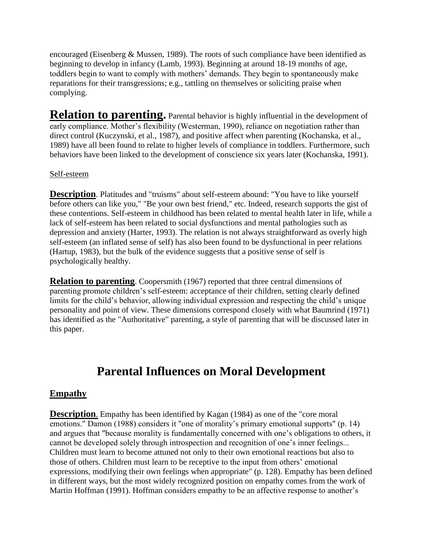encouraged (Eisenberg & Mussen, 1989). The roots of such compliance have been identified as beginning to develop in infancy (Lamb, 1993). Beginning at around 18-19 months of age, toddlers begin to want to comply with mothers' demands. They begin to spontaneously make reparations for their transgressions; e.g., tattling on themselves or soliciting praise when complying.

**Relation to parenting.** Parental behavior is highly influential in the development of early compliance. Mother's flexibility (Westerman, 1990), reliance on negotiation rather than direct control (Kuczynski, et al., 1987), and positive affect when parenting (Kochanska, et al., 1989) have all been found to relate to higher levels of compliance in toddlers. Furthermore, such behaviors have been linked to the development of conscience six years later (Kochanska, 1991).

#### Self-esteem

**Description**. Platitudes and "truisms" about self-esteem abound: "You have to like yourself before others can like you," "Be your own best friend," etc. Indeed, research supports the gist of these contentions. Self-esteem in childhood has been related to mental health later in life, while a lack of self-esteem has been related to social dysfunctions and mental pathologies such as depression and anxiety (Harter, 1993). The relation is not always straightforward as overly high self-esteem (an inflated sense of self) has also been found to be dysfunctional in peer relations (Hartup, 1983), but the bulk of the evidence suggests that a positive sense of self is psychologically healthy.

**Relation to parenting.** Coopersmith (1967) reported that three central dimensions of parenting promote children's self-esteem: acceptance of their children, setting clearly defined limits for the child's behavior, allowing individual expression and respecting the child's unique personality and point of view. These dimensions correspond closely with what Baumrind (1971) has identified as the "Authoritative" parenting, a style of parenting that will be discussed later in this paper.

## **Parental Influences on Moral Development**

#### **Empathy**

**Description**. Empathy has been identified by Kagan (1984) as one of the "core moral emotions." Damon (1988) considers it "one of morality's primary emotional supports" (p. 14) and argues that "because morality is fundamentally concerned with one's obligations to others, it cannot be developed solely through introspection and recognition of one's inner feelings... Children must learn to become attuned not only to their own emotional reactions but also to those of others. Children must learn to be receptive to the input from others' emotional expressions, modifying their own feelings when appropriate" (p. 128). Empathy has been defined in different ways, but the most widely recognized position on empathy comes from the work of Martin Hoffman (1991). Hoffman considers empathy to be an affective response to another's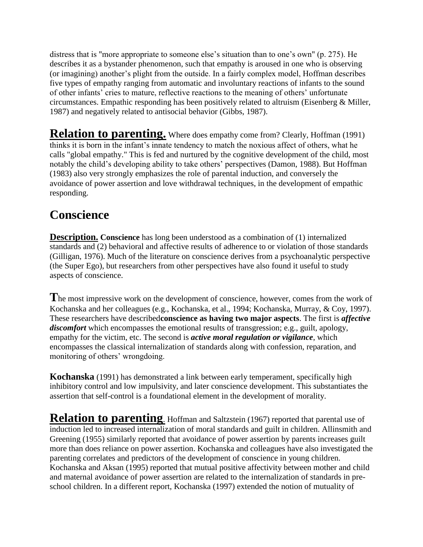distress that is "more appropriate to someone else's situation than to one's own" (p. 275). He describes it as a bystander phenomenon, such that empathy is aroused in one who is observing (or imagining) another's plight from the outside. In a fairly complex model, Hoffman describes five types of empathy ranging from automatic and involuntary reactions of infants to the sound of other infants' cries to mature, reflective reactions to the meaning of others' unfortunate circumstances. Empathic responding has been positively related to altruism (Eisenberg & Miller, 1987) and negatively related to antisocial behavior (Gibbs, 1987).

**Relation to parenting.** Where does empathy come from? Clearly, Hoffman (1991) thinks it is born in the infant's innate tendency to match the noxious affect of others, what he calls "global empathy." This is fed and nurtured by the cognitive development of the child, most notably the child's developing ability to take others' perspectives (Damon, 1988). But Hoffman (1983) also very strongly emphasizes the role of parental induction, and conversely the avoidance of power assertion and love withdrawal techniques, in the development of empathic responding.

## **Conscience**

**Description.** Conscience has long been understood as a combination of (1) internalized standards and (2) behavioral and affective results of adherence to or violation of those standards (Gilligan, 1976). Much of the literature on conscience derives from a psychoanalytic perspective (the Super Ego), but researchers from other perspectives have also found it useful to study aspects of conscience.

**T**he most impressive work on the development of conscience, however, comes from the work of Kochanska and her colleagues (e.g., Kochanska, et al., 1994; Kochanska, Murray, & Coy, 1997). These researchers have described**conscience as having two major aspects**. The first is *affective discomfort* which encompasses the emotional results of transgression; e.g., guilt, apology, empathy for the victim, etc. The second is *active moral regulation or vigilance*, which encompasses the classical internalization of standards along with confession, reparation, and monitoring of others' wrongdoing.

**Kochanska** (1991) has demonstrated a link between early temperament, specifically high inhibitory control and low impulsivity, and later conscience development. This substantiates the assertion that self-control is a foundational element in the development of morality.

**Relation to parenting**. Hoffman and Saltzstein (1967) reported that parental use of induction led to increased internalization of moral standards and guilt in children. Allinsmith and Greening (1955) similarly reported that avoidance of power assertion by parents increases guilt more than does reliance on power assertion. Kochanska and colleagues have also investigated the parenting correlates and predictors of the development of conscience in young children. Kochanska and Aksan (1995) reported that mutual positive affectivity between mother and child and maternal avoidance of power assertion are related to the internalization of standards in preschool children. In a different report, Kochanska (1997) extended the notion of mutuality of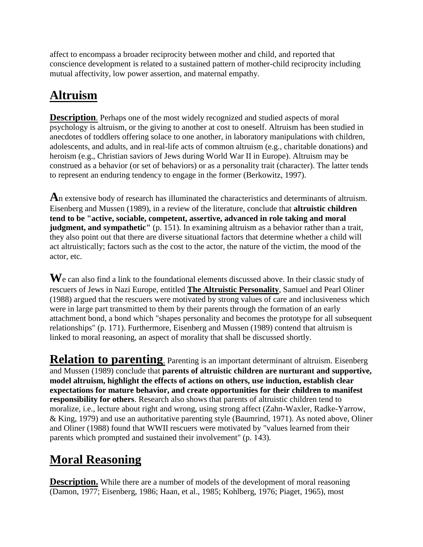affect to encompass a broader reciprocity between mother and child, and reported that conscience development is related to a sustained pattern of mother-child reciprocity including mutual affectivity, low power assertion, and maternal empathy.

# **Altruism**

**Description**. Perhaps one of the most widely recognized and studied aspects of moral psychology is altruism, or the giving to another at cost to oneself. Altruism has been studied in anecdotes of toddlers offering solace to one another, in laboratory manipulations with children, adolescents, and adults, and in real-life acts of common altruism (e.g., charitable donations) and heroism (e.g., Christian saviors of Jews during World War II in Europe). Altruism may be construed as a behavior (or set of behaviors) or as a personality trait (character). The latter tends to represent an enduring tendency to engage in the former (Berkowitz, 1997).

**A**n extensive body of research has illuminated the characteristics and determinants of altruism. Eisenberg and Mussen (1989), in a review of the literature, conclude that **altruistic children tend to be "active, sociable, competent, assertive, advanced in role taking and moral judgment, and sympathetic"** (p. 151). In examining altruism as a behavior rather than a trait, they also point out that there are diverse situational factors that determine whether a child will act altruistically; factors such as the cost to the actor, the nature of the victim, the mood of the actor, etc.

We can also find a link to the foundational elements discussed above. In their classic study of rescuers of Jews in Nazi Europe, entitled **The Altruistic Personality**, Samuel and Pearl Oliner (1988) argued that the rescuers were motivated by strong values of care and inclusiveness which were in large part transmitted to them by their parents through the formation of an early attachment bond, a bond which "shapes personality and becomes the prototype for all subsequent relationships" (p. 171). Furthermore, Eisenberg and Mussen (1989) contend that altruism is linked to moral reasoning, an aspect of morality that shall be discussed shortly.

**Relation to parenting**. Parenting is an important determinant of altruism. Eisenberg and Mussen (1989) conclude that **parents of altruistic children are nurturant and supportive, model altruism, highlight the effects of actions on others, use induction, establish clear expectations for mature behavior, and create opportunities for their children to manifest responsibility for others**. Research also shows that parents of altruistic children tend to moralize, i.e., lecture about right and wrong, using strong affect (Zahn-Waxler, Radke-Yarrow, & King, 1979) and use an authoritative parenting style (Baumrind, 1971). As noted above, Oliner and Oliner (1988) found that WWII rescuers were motivated by "values learned from their parents which prompted and sustained their involvement" (p. 143).

## **Moral Reasoning**

**Description.** While there are a number of models of the development of moral reasoning (Damon, 1977; Eisenberg, 1986; Haan, et al., 1985; Kohlberg, 1976; Piaget, 1965), most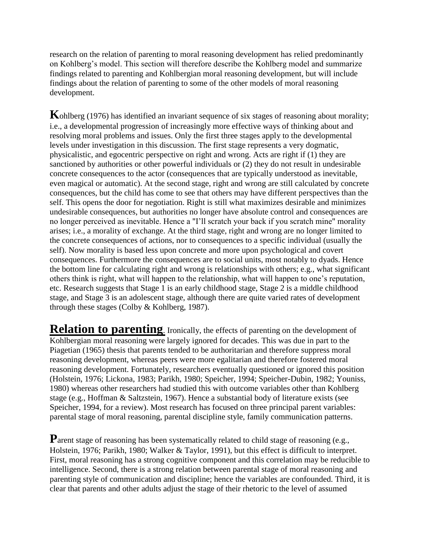research on the relation of parenting to moral reasoning development has relied predominantly on Kohlberg's model. This section will therefore describe the Kohlberg model and summarize findings related to parenting and Kohlbergian moral reasoning development, but will include findings about the relation of parenting to some of the other models of moral reasoning development.

Kohlberg (1976) has identified an invariant sequence of six stages of reasoning about morality; i.e., a developmental progression of increasingly more effective ways of thinking about and resolving moral problems and issues. Only the first three stages apply to the developmental levels under investigation in this discussion. The first stage represents a very dogmatic, physicalistic, and egocentric perspective on right and wrong. Acts are right if (1) they are sanctioned by authorities or other powerful individuals or (2) they do not result in undesirable concrete consequences to the actor (consequences that are typically understood as inevitable, even magical or automatic). At the second stage, right and wrong are still calculated by concrete consequences, but the child has come to see that others may have different perspectives than the self. This opens the door for negotiation. Right is still what maximizes desirable and minimizes undesirable consequences, but authorities no longer have absolute control and consequences are no longer perceived as inevitable. Hence a "I'll scratch your back if you scratch mine" morality arises; i.e., a morality of exchange. At the third stage, right and wrong are no longer limited to the concrete consequences of actions, nor to consequences to a specific individual (usually the self). Now morality is based less upon concrete and more upon psychological and covert consequences. Furthermore the consequences are to social units, most notably to dyads. Hence the bottom line for calculating right and wrong is relationships with others; e.g., what significant others think is right, what will happen to the relationship, what will happen to one's reputation, etc. Research suggests that Stage 1 is an early childhood stage, Stage 2 is a middle childhood stage, and Stage 3 is an adolescent stage, although there are quite varied rates of development through these stages (Colby & Kohlberg, 1987).

**Relation to parenting.** Ironically, the effects of parenting on the development of Kohlbergian moral reasoning were largely ignored for decades. This was due in part to the Piagetian (1965) thesis that parents tended to be authoritarian and therefore suppress moral reasoning development, whereas peers were more egalitarian and therefore fostered moral reasoning development. Fortunately, researchers eventually questioned or ignored this position (Holstein, 1976; Lickona, 1983; Parikh, 1980; Speicher, 1994; Speicher-Dubin, 1982; Youniss, 1980) whereas other researchers had studied this with outcome variables other than Kohlberg stage (e.g., Hoffman & Saltzstein, 1967). Hence a substantial body of literature exists (see Speicher, 1994, for a review). Most research has focused on three principal parent variables: parental stage of moral reasoning, parental discipline style, family communication patterns.

**P**arent stage of reasoning has been systematically related to child stage of reasoning (e.g., Holstein, 1976; Parikh, 1980; Walker & Taylor, 1991), but this effect is difficult to interpret. First, moral reasoning has a strong cognitive component and this correlation may be reducible to intelligence. Second, there is a strong relation between parental stage of moral reasoning and parenting style of communication and discipline; hence the variables are confounded. Third, it is clear that parents and other adults adjust the stage of their rhetoric to the level of assumed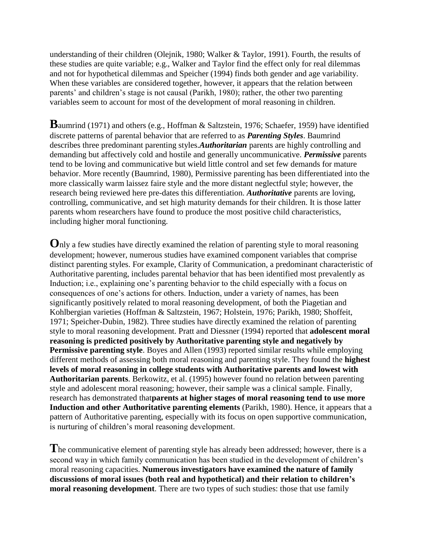understanding of their children (Olejnik, 1980; Walker & Taylor, 1991). Fourth, the results of these studies are quite variable; e.g., Walker and Taylor find the effect only for real dilemmas and not for hypothetical dilemmas and Speicher (1994) finds both gender and age variability. When these variables are considered together, however, it appears that the relation between parents' and children's stage is not causal (Parikh, 1980); rather, the other two parenting variables seem to account for most of the development of moral reasoning in children.

**B**aumrind (1971) and others (e.g., Hoffman & Saltzstein, 1976; Schaefer, 1959) have identified discrete patterns of parental behavior that are referred to as *Parenting Styles*. Baumrind describes three predominant parenting styles.*Authoritarian* parents are highly controlling and demanding but affectively cold and hostile and generally uncommunicative. *Permissive* parents tend to be loving and communicative but wield little control and set few demands for mature behavior. More recently (Baumrind, 1980), Permissive parenting has been differentiated into the more classically warm laissez faire style and the more distant neglectful style; however, the research being reviewed here pre-dates this differentiation. *Authoritative* parents are loving, controlling, communicative, and set high maturity demands for their children. It is those latter parents whom researchers have found to produce the most positive child characteristics, including higher moral functioning.

**O**nly a few studies have directly examined the relation of parenting style to moral reasoning development; however, numerous studies have examined component variables that comprise distinct parenting styles. For example, Clarity of Communication, a predominant characteristic of Authoritative parenting, includes parental behavior that has been identified most prevalently as Induction; i.e., explaining one's parenting behavior to the child especially with a focus on consequences of one's actions for others. Induction, under a variety of names, has been significantly positively related to moral reasoning development, of both the Piagetian and Kohlbergian varieties (Hoffman & Saltzstein, 1967; Holstein, 1976; Parikh, 1980; Shoffeit, 1971; Speicher-Dubin, 1982). Three studies have directly examined the relation of parenting style to moral reasoning development. Pratt and Diessner (1994) reported that **adolescent moral reasoning is predicted positively by Authoritative parenting style and negatively by Permissive parenting style**. Boyes and Allen (1993) reported similar results while employing different methods of assessing both moral reasoning and parenting style. They found the **highest levels of moral reasoning in college students with Authoritative parents and lowest with Authoritarian parents**. Berkowitz, et al. (1995) however found no relation between parenting style and adolescent moral reasoning; however, their sample was a clinical sample. Finally, research has demonstrated that**parents at higher stages of moral reasoning tend to use more Induction and other Authoritative parenting elements** (Parikh, 1980). Hence, it appears that a pattern of Authoritative parenting, especially with its focus on open supportive communication, is nurturing of children's moral reasoning development.

**T**he communicative element of parenting style has already been addressed; however, there is a second way in which family communication has been studied in the development of children's moral reasoning capacities. **Numerous investigators have examined the nature of family discussions of moral issues (both real and hypothetical) and their relation to children's moral reasoning development**. There are two types of such studies: those that use family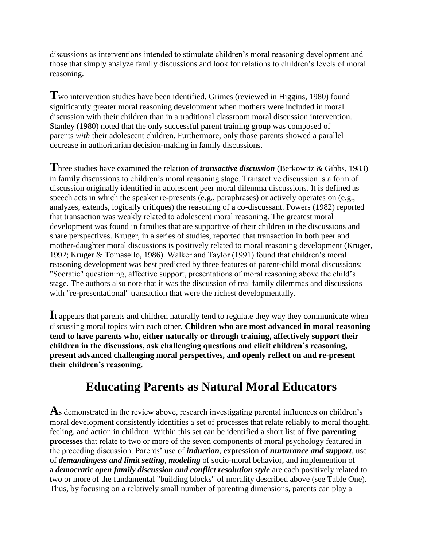discussions as interventions intended to stimulate children's moral reasoning development and those that simply analyze family discussions and look for relations to children's levels of moral reasoning.

**T**wo intervention studies have been identified. Grimes (reviewed in Higgins, 1980) found significantly greater moral reasoning development when mothers were included in moral discussion with their children than in a traditional classroom moral discussion intervention. Stanley (1980) noted that the only successful parent training group was composed of parents *with* their adolescent children. Furthermore, only those parents showed a parallel decrease in authoritarian decision-making in family discussions.

**T**hree studies have examined the relation of *transactive discussion* (Berkowitz & Gibbs, 1983) in family discussions to children's moral reasoning stage. Transactive discussion is a form of discussion originally identified in adolescent peer moral dilemma discussions. It is defined as speech acts in which the speaker re-presents (e.g., paraphrases) or actively operates on (e.g., analyzes, extends, logically critiques) the reasoning of a co-discussant. Powers (1982) reported that transaction was weakly related to adolescent moral reasoning. The greatest moral development was found in families that are supportive of their children in the discussions and share perspectives. Kruger, in a series of studies, reported that transaction in both peer and mother-daughter moral discussions is positively related to moral reasoning development (Kruger, 1992; Kruger & Tomasello, 1986). Walker and Taylor (1991) found that children's moral reasoning development was best predicted by three features of parent-child moral discussions: "Socratic" questioning, affective support, presentations of moral reasoning above the child's stage. The authors also note that it was the discussion of real family dilemmas and discussions with "re-presentational" transaction that were the richest developmentally.

**I**t appears that parents and children naturally tend to regulate they way they communicate when discussing moral topics with each other. **Children who are most advanced in moral reasoning tend to have parents who, either naturally or through training, affectively support their children in the discussions, ask challenging questions and elicit children's reasoning, present advanced challenging moral perspectives, and openly reflect on and re-present their children's reasoning**.

## **Educating Parents as Natural Moral Educators**

As demonstrated in the review above, research investigating parental influences on children's moral development consistently identifies a set of processes that relate reliably to moral thought, feeling, and action in children. Within this set can be identified a short list of **five parenting processes** that relate to two or more of the seven components of moral psychology featured in the preceding discussion. Parents' use of *induction*, expression of *nurturance and support*, use of *demandingess and limit setting*, *modeling* of socio-moral behavior, and implemention of a *democratic open family discussion and conflict resolution style* are each positively related to two or more of the fundamental "building blocks" of morality described above (see Table One). Thus, by focusing on a relatively small number of parenting dimensions, parents can play a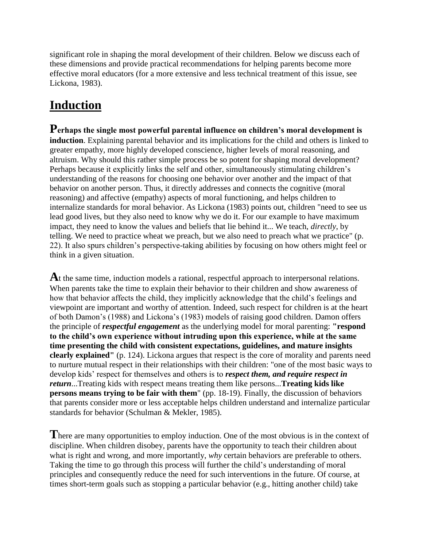significant role in shaping the moral development of their children. Below we discuss each of these dimensions and provide practical recommendations for helping parents become more effective moral educators (for a more extensive and less technical treatment of this issue, see Lickona, 1983).

## **Induction**

**Perhaps the single most powerful parental influence on children's moral development is induction**. Explaining parental behavior and its implications for the child and others is linked to greater empathy, more highly developed conscience, higher levels of moral reasoning, and altruism. Why should this rather simple process be so potent for shaping moral development? Perhaps because it explicitly links the self and other, simultaneously stimulating children's understanding of the reasons for choosing one behavior over another and the impact of that behavior on another person. Thus, it directly addresses and connects the cognitive (moral reasoning) and affective (empathy) aspects of moral functioning, and helps children to internalize standards for moral behavior. As Lickona (1983) points out, children "need to see us lead good lives, but they also need to know why we do it. For our example to have maximum impact, they need to know the values and beliefs that lie behind it... We teach, *directly*, by telling. We need to practice wheat we preach, but we also need to preach what we practice" (p. 22). It also spurs children's perspective-taking abilities by focusing on how others might feel or think in a given situation.

At the same time, induction models a rational, respectful approach to interpersonal relations. When parents take the time to explain their behavior to their children and show awareness of how that behavior affects the child, they implicitly acknowledge that the child's feelings and viewpoint are important and worthy of attention. Indeed, such respect for children is at the heart of both Damon's (1988) and Lickona's (1983) models of raising good children. Damon offers the principle of *respectful engagement* as the underlying model for moral parenting: **"respond to the child's own experience without intruding upon this experience, while at the same time presenting the child with consistent expectations, guidelines, and mature insights clearly explained"** (p. 124). Lickona argues that respect is the core of morality and parents need to nurture mutual respect in their relationships with their children: "one of the most basic ways to develop kids' respect for themselves and others is to *respect them, and require respect in return*...Treating kids with respect means treating them like persons...**Treating kids like persons means trying to be fair with them**" (pp. 18-19). Finally, the discussion of behaviors that parents consider more or less acceptable helps children understand and internalize particular standards for behavior (Schulman & Mekler, 1985).

**T**here are many opportunities to employ induction. One of the most obvious is in the context of discipline. When children disobey, parents have the opportunity to teach their children about what is right and wrong, and more importantly, *why* certain behaviors are preferable to others. Taking the time to go through this process will further the child's understanding of moral principles and consequently reduce the need for such interventions in the future. Of course, at times short-term goals such as stopping a particular behavior (e.g., hitting another child) take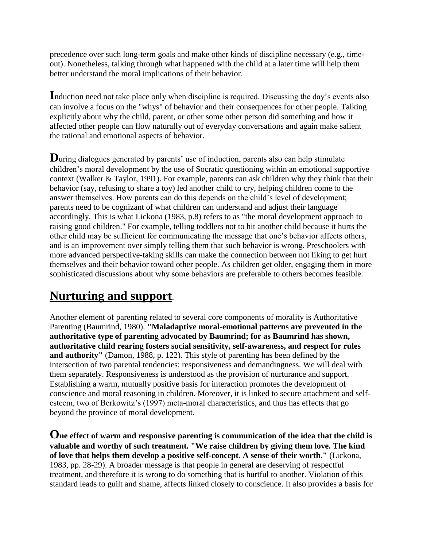precedence over such long-term goals and make other kinds of discipline necessary (e.g., timeout). Nonetheless, talking through what happened with the child at a later time will help them better understand the moral implications of their behavior.

**I**nduction need not take place only when discipline is required. Discussing the day's events also can involve a focus on the "whys" of behavior and their consequences for other people. Talking explicitly about why the child, parent, or other some other person did something and how it affected other people can flow naturally out of everyday conversations and again make salient the rational and emotional aspects of behavior.

**D**uring dialogues generated by parents' use of induction, parents also can help stimulate children's moral development by the use of Socratic questioning within an emotional supportive context (Walker & Taylor, 1991). For example, parents can ask children why they think that their behavior (say, refusing to share a toy) led another child to cry, helping children come to the answer themselves. How parents can do this depends on the child's level of development; parents need to be cognizant of what children can understand and adjust their language accordingly. This is what Lickona (1983, p.8) refers to as "the moral development approach to raising good children." For example, telling toddlers not to hit another child because it hurts the other child may be sufficient for communicating the message that one's behavior affects others, and is an improvement over simply telling them that such behavior is wrong. Preschoolers with more advanced perspective-taking skills can make the connection between not liking to get hurt themselves and their behavior toward other people. As children get older, engaging them in more sophisticated discussions about why some behaviors are preferable to others becomes feasible.

# **Nurturing and support**.

Another element of parenting related to several core components of morality is Authoritative Parenting (Baumrind, 1980). **"Maladaptive moral-emotional patterns are prevented in the authoritative type of parenting advocated by Baumrind; for as Baumrind has shown, authoritative child rearing fosters social sensitivity, self-awareness, and respect for rules and authority"** (Damon, 1988, p. 122). This style of parenting has been defined by the intersection of two parental tendencies: responsiveness and demandingness. We will deal with them separately. Responsiveness is understood as the provision of nurturance and support. Establishing a warm, mutually positive basis for interaction promotes the development of conscience and moral reasoning in children. Moreover, it is linked to secure attachment and selfesteem, two of Berkowitz's (1997) meta-moral characteristics, and thus has effects that go beyond the province of moral development.

**One effect of warm and responsive parenting is communication of the idea that the child is valuable and worthy of such treatment. "We raise children by giving them love. The kind of love that helps them develop a positive self-concept. A sense of their worth."** (Lickona, 1983, pp. 28-29). A broader message is that people in general are deserving of respectful treatment, and therefore it is wrong to do something that is hurtful to another. Violation of this standard leads to guilt and shame, affects linked closely to conscience. It also provides a basis for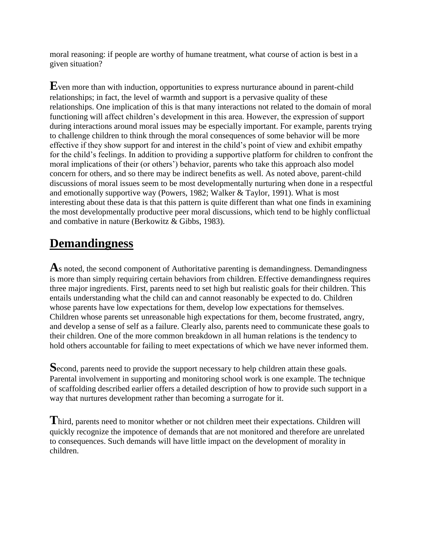moral reasoning: if people are worthy of humane treatment, what course of action is best in a given situation?

**E**ven more than with induction, opportunities to express nurturance abound in parent-child relationships; in fact, the level of warmth and support is a pervasive quality of these relationships. One implication of this is that many interactions not related to the domain of moral functioning will affect children's development in this area. However, the expression of support during interactions around moral issues may be especially important. For example, parents trying to challenge children to think through the moral consequences of some behavior will be more effective if they show support for and interest in the child's point of view and exhibit empathy for the child's feelings. In addition to providing a supportive platform for children to confront the moral implications of their (or others') behavior, parents who take this approach also model concern for others, and so there may be indirect benefits as well. As noted above, parent-child discussions of moral issues seem to be most developmentally nurturing when done in a respectful and emotionally supportive way (Powers, 1982; Walker & Taylor, 1991). What is most interesting about these data is that this pattern is quite different than what one finds in examining the most developmentally productive peer moral discussions, which tend to be highly conflictual and combative in nature (Berkowitz & Gibbs, 1983).

## **Demandingness**

**A**s noted, the second component of Authoritative parenting is demandingness. Demandingness is more than simply requiring certain behaviors from children. Effective demandingness requires three major ingredients. First, parents need to set high but realistic goals for their children. This entails understanding what the child can and cannot reasonably be expected to do. Children whose parents have low expectations for them, develop low expectations for themselves. Children whose parents set unreasonable high expectations for them, become frustrated, angry, and develop a sense of self as a failure. Clearly also, parents need to communicate these goals to their children. One of the more common breakdown in all human relations is the tendency to hold others accountable for failing to meet expectations of which we have never informed them.

Second, parents need to provide the support necessary to help children attain these goals. Parental involvement in supporting and monitoring school work is one example. The technique of scaffolding described earlier offers a detailed description of how to provide such support in a way that nurtures development rather than becoming a surrogate for it.

**T**hird, parents need to monitor whether or not children meet their expectations. Children will quickly recognize the impotence of demands that are not monitored and therefore are unrelated to consequences. Such demands will have little impact on the development of morality in children.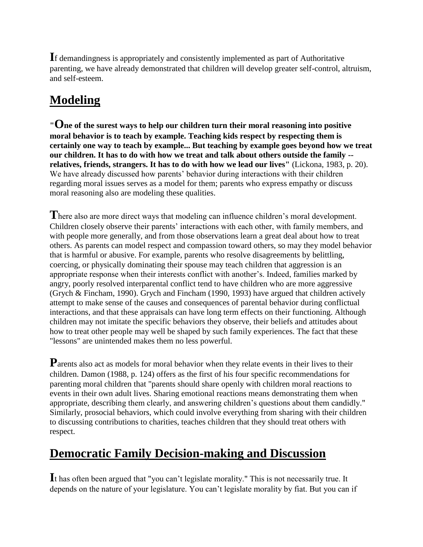**I**f demandingness is appropriately and consistently implemented as part of Authoritative parenting, we have already demonstrated that children will develop greater self-control, altruism, and self-esteem.

## **Modeling**

**"One of the surest ways to help our children turn their moral reasoning into positive moral behavior is to teach by example. Teaching kids respect by respecting them is certainly one way to teach by example... But teaching by example goes beyond how we treat our children. It has to do with how we treat and talk about others outside the family - relatives, friends, strangers. It has to do with how we lead our lives"** (Lickona, 1983, p. 20). We have already discussed how parents' behavior during interactions with their children regarding moral issues serves as a model for them; parents who express empathy or discuss moral reasoning also are modeling these qualities.

There also are more direct ways that modeling can influence children's moral development. Children closely observe their parents' interactions with each other, with family members, and with people more generally, and from those observations learn a great deal about how to treat others. As parents can model respect and compassion toward others, so may they model behavior that is harmful or abusive. For example, parents who resolve disagreements by belittling, coercing, or physically dominating their spouse may teach children that aggression is an appropriate response when their interests conflict with another's. Indeed, families marked by angry, poorly resolved interparental conflict tend to have children who are more aggressive (Grych & Fincham, 1990). Grych and Fincham (1990, 1993) have argued that children actively attempt to make sense of the causes and consequences of parental behavior during conflictual interactions, and that these appraisals can have long term effects on their functioning. Although children may not imitate the specific behaviors they observe, their beliefs and attitudes about how to treat other people may well be shaped by such family experiences. The fact that these "lessons" are unintended makes them no less powerful.

Parents also act as models for moral behavior when they relate events in their lives to their children. Damon (1988, p. 124) offers as the first of his four specific recommendations for parenting moral children that "parents should share openly with children moral reactions to events in their own adult lives. Sharing emotional reactions means demonstrating them when appropriate, describing them clearly, and answering children's questions about them candidly." Similarly, prosocial behaviors, which could involve everything from sharing with their children to discussing contributions to charities, teaches children that they should treat others with respect.

## **Democratic Family Decision-making and Discussion**

**I**t has often been argued that "you can't legislate morality." This is not necessarily true. It depends on the nature of your legislature. You can't legislate morality by fiat. But you can if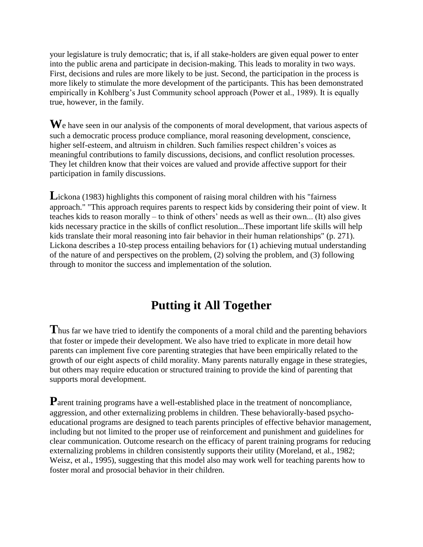your legislature is truly democratic; that is, if all stake-holders are given equal power to enter into the public arena and participate in decision-making. This leads to morality in two ways. First, decisions and rules are more likely to be just. Second, the participation in the process is more likely to stimulate the more development of the participants. This has been demonstrated empirically in Kohlberg's Just Community school approach (Power et al., 1989). It is equally true, however, in the family.

We have seen in our analysis of the components of moral development, that various aspects of such a democratic process produce compliance, moral reasoning development, conscience, higher self-esteem, and altruism in children. Such families respect children's voices as meaningful contributions to family discussions, decisions, and conflict resolution processes. They let children know that their voices are valued and provide affective support for their participation in family discussions.

Lickona (1983) highlights this component of raising moral children with his "fairness" approach." "This approach requires parents to respect kids by considering their point of view. It teaches kids to reason morally – to think of others' needs as well as their own... (It) also gives kids necessary practice in the skills of conflict resolution...These important life skills will help kids translate their moral reasoning into fair behavior in their human relationships" (p. 271). Lickona describes a 10-step process entailing behaviors for (1) achieving mutual understanding of the nature of and perspectives on the problem, (2) solving the problem, and (3) following through to monitor the success and implementation of the solution.

## **Putting it All Together**

**T**hus far we have tried to identify the components of a moral child and the parenting behaviors that foster or impede their development. We also have tried to explicate in more detail how parents can implement five core parenting strategies that have been empirically related to the growth of our eight aspects of child morality. Many parents naturally engage in these strategies, but others may require education or structured training to provide the kind of parenting that supports moral development.

**P**arent training programs have a well-established place in the treatment of noncompliance, aggression, and other externalizing problems in children. These behaviorally-based psychoeducational programs are designed to teach parents principles of effective behavior management, including but not limited to the proper use of reinforcement and punishment and guidelines for clear communication. Outcome research on the efficacy of parent training programs for reducing externalizing problems in children consistently supports their utility (Moreland, et al., 1982; Weisz, et al., 1995), suggesting that this model also may work well for teaching parents how to foster moral and prosocial behavior in their children.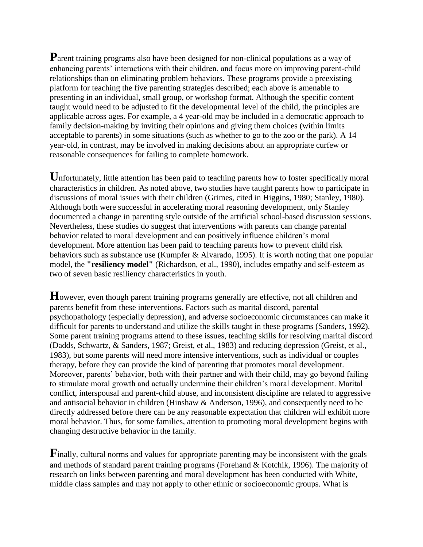Parent training programs also have been designed for non-clinical populations as a way of enhancing parents' interactions with their children, and focus more on improving parent-child relationships than on eliminating problem behaviors. These programs provide a preexisting platform for teaching the five parenting strategies described; each above is amenable to presenting in an individual, small group, or workshop format. Although the specific content taught would need to be adjusted to fit the developmental level of the child, the principles are applicable across ages. For example, a 4 year-old may be included in a democratic approach to family decision-making by inviting their opinions and giving them choices (within limits acceptable to parents) in some situations (such as whether to go to the zoo or the park). A 14 year-old, in contrast, may be involved in making decisions about an appropriate curfew or reasonable consequences for failing to complete homework.

Unfortunately, little attention has been paid to teaching parents how to foster specifically moral characteristics in children. As noted above, two studies have taught parents how to participate in discussions of moral issues with their children (Grimes, cited in Higgins, 1980; Stanley, 1980). Although both were successful in accelerating moral reasoning development, only Stanley documented a change in parenting style outside of the artificial school-based discussion sessions. Nevertheless, these studies do suggest that interventions with parents can change parental behavior related to moral development and can positively influence children's moral development. More attention has been paid to teaching parents how to prevent child risk behaviors such as substance use (Kumpfer & Alvarado, 1995). It is worth noting that one popular model, the **"resiliency model"** (Richardson, et al., 1990), includes empathy and self-esteem as two of seven basic resiliency characteristics in youth.

**H**owever, even though parent training programs generally are effective, not all children and parents benefit from these interventions. Factors such as marital discord, parental psychopathology (especially depression), and adverse socioeconomic circumstances can make it difficult for parents to understand and utilize the skills taught in these programs (Sanders, 1992). Some parent training programs attend to these issues, teaching skills for resolving marital discord (Dadds, Schwartz, & Sanders, 1987; Greist, et al., 1983) and reducing depression (Greist, et al., 1983), but some parents will need more intensive interventions, such as individual or couples therapy, before they can provide the kind of parenting that promotes moral development. Moreover, parents' behavior, both with their partner and with their child, may go beyond failing to stimulate moral growth and actually undermine their children's moral development. Marital conflict, interspousal and parent-child abuse, and inconsistent discipline are related to aggressive and antisocial behavior in children (Hinshaw & Anderson, 1996), and consequently need to be directly addressed before there can be any reasonable expectation that children will exhibit more moral behavior. Thus, for some families, attention to promoting moral development begins with changing destructive behavior in the family.

**F** inally, cultural norms and values for appropriate parenting may be inconsistent with the goals and methods of standard parent training programs (Forehand & Kotchik, 1996). The majority of research on links between parenting and moral development has been conducted with White, middle class samples and may not apply to other ethnic or socioeconomic groups. What is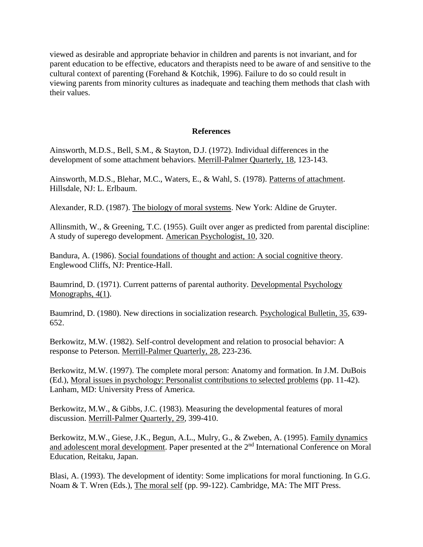viewed as desirable and appropriate behavior in children and parents is not invariant, and for parent education to be effective, educators and therapists need to be aware of and sensitive to the cultural context of parenting (Forehand & Kotchik, 1996). Failure to do so could result in viewing parents from minority cultures as inadequate and teaching them methods that clash with their values.

#### **References**

Ainsworth, M.D.S., Bell, S.M., & Stayton, D.J. (1972). Individual differences in the development of some attachment behaviors. Merrill-Palmer Quarterly, 18, 123-143.

Ainsworth, M.D.S., Blehar, M.C., Waters, E., & Wahl, S. (1978). Patterns of attachment. Hillsdale, NJ: L. Erlbaum.

Alexander, R.D. (1987). The biology of moral systems. New York: Aldine de Gruyter.

Allinsmith, W., & Greening, T.C. (1955). Guilt over anger as predicted from parental discipline: A study of superego development. American Psychologist, 10, 320.

Bandura, A. (1986). Social foundations of thought and action: A social cognitive theory. Englewood Cliffs, NJ: Prentice-Hall.

Baumrind, D. (1971). Current patterns of parental authority. Developmental Psychology Monographs,  $4(1)$ .

Baumrind, D. (1980). New directions in socialization research. Psychological Bulletin, 35, 639- 652.

Berkowitz, M.W. (1982). Self-control development and relation to prosocial behavior: A response to Peterson. Merrill-Palmer Quarterly, 28, 223-236.

Berkowitz, M.W. (1997). The complete moral person: Anatomy and formation. In J.M. DuBois (Ed.), Moral issues in psychology: Personalist contributions to selected problems (pp. 11-42). Lanham, MD: University Press of America.

Berkowitz, M.W., & Gibbs, J.C. (1983). Measuring the developmental features of moral discussion. Merrill-Palmer Quarterly, 29, 399-410.

Berkowitz, M.W., Giese, J.K., Begun, A.L., Mulry, G., & Zweben, A. (1995). Family dynamics and adolescent moral development. Paper presented at the 2<sup>nd</sup> International Conference on Moral Education, Reitaku, Japan.

Blasi, A. (1993). The development of identity: Some implications for moral functioning. In G.G. Noam & T. Wren (Eds.), The moral self (pp. 99-122). Cambridge, MA: The MIT Press.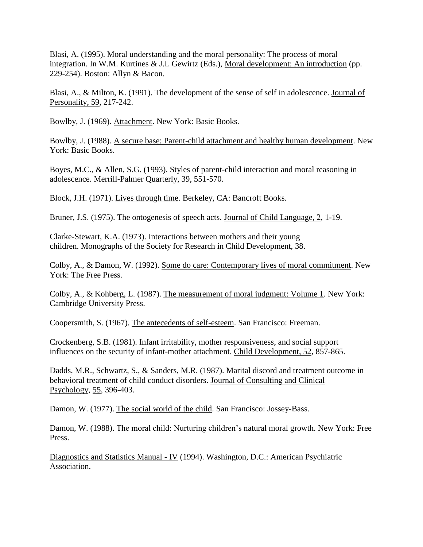Blasi, A. (1995). Moral understanding and the moral personality: The process of moral integration. In W.M. Kurtines & J.L Gewirtz (Eds.), Moral development: An introduction (pp. 229-254). Boston: Allyn & Bacon.

Blasi, A., & Milton, K. (1991). The development of the sense of self in adolescence. Journal of Personality, 59, 217-242.

Bowlby, J. (1969). Attachment. New York: Basic Books.

Bowlby, J. (1988). A secure base: Parent-child attachment and healthy human development. New York: Basic Books.

Boyes, M.C., & Allen, S.G. (1993). Styles of parent-child interaction and moral reasoning in adolescence. Merrill-Palmer Quarterly, 39, 551-570.

Block, J.H. (1971). Lives through time. Berkeley, CA: Bancroft Books.

Bruner, J.S. (1975). The ontogenesis of speech acts. Journal of Child Language, 2, 1-19.

Clarke-Stewart, K.A. (1973). Interactions between mothers and their young children. Monographs of the Society for Research in Child Development, 38.

Colby, A., & Damon, W. (1992). Some do care: Contemporary lives of moral commitment. New York: The Free Press.

Colby, A., & Kohberg, L. (1987). The measurement of moral judgment: Volume 1. New York: Cambridge University Press.

Coopersmith, S. (1967). The antecedents of self-esteem. San Francisco: Freeman.

Crockenberg, S.B. (1981). Infant irritability, mother responsiveness, and social support influences on the security of infant-mother attachment. Child Development, 52, 857-865.

Dadds, M.R., Schwartz, S., & Sanders, M.R. (1987). Marital discord and treatment outcome in behavioral treatment of child conduct disorders. Journal of Consulting and Clinical Psychology, 55, 396-403.

Damon, W. (1977). The social world of the child. San Francisco: Jossey-Bass.

Damon, W. (1988). The moral child: Nurturing children's natural moral growth. New York: Free Press.

Diagnostics and Statistics Manual - IV (1994). Washington, D.C.: American Psychiatric Association.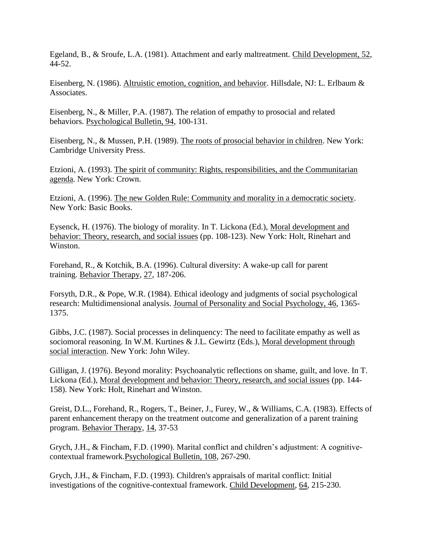Egeland, B., & Sroufe, L.A. (1981). Attachment and early maltreatment. Child Development, 52, 44-52.

Eisenberg, N. (1986). Altruistic emotion, cognition, and behavior. Hillsdale, NJ: L. Erlbaum & Associates.

Eisenberg, N., & Miller, P.A. (1987). The relation of empathy to prosocial and related behaviors. Psychological Bulletin, 94, 100-131.

Eisenberg, N., & Mussen, P.H. (1989). The roots of prosocial behavior in children. New York: Cambridge University Press.

Etzioni, A. (1993). The spirit of community: Rights, responsibilities, and the Communitarian agenda. New York: Crown.

Etzioni, A. (1996). The new Golden Rule: Community and morality in a democratic society. New York: Basic Books.

Eysenck, H. (1976). The biology of morality. In T. Lickona (Ed.), Moral development and behavior: Theory, research, and social issues (pp. 108-123). New York: Holt, Rinehart and Winston.

Forehand, R., & Kotchik, B.A. (1996). Cultural diversity: A wake-up call for parent training. Behavior Therapy, 27, 187-206.

Forsyth, D.R., & Pope, W.R. (1984). Ethical ideology and judgments of social psychological research: Multidimensional analysis. Journal of Personality and Social Psychology, 46, 1365- 1375.

Gibbs, J.C. (1987). Social processes in delinquency: The need to facilitate empathy as well as sociomoral reasoning. In W.M. Kurtines & J.L. Gewirtz (Eds.), Moral development through social interaction. New York: John Wiley.

Gilligan, J. (1976). Beyond morality: Psychoanalytic reflections on shame, guilt, and love. In T. Lickona (Ed.), Moral development and behavior: Theory, research, and social issues (pp. 144- 158). New York: Holt, Rinehart and Winston.

Greist, D.L., Forehand, R., Rogers, T., Beiner, J., Furey, W., & Williams, C.A. (1983). Effects of parent enhancement therapy on the treatment outcome and generalization of a parent training program. Behavior Therapy, 14, 37-53

Grych, J.H., & Fincham, F.D. (1990). Marital conflict and children's adjustment: A cognitivecontextual framework.Psychological Bulletin, 108, 267-290.

Grych, J.H., & Fincham, F.D. (1993). Children's appraisals of marital conflict: Initial investigations of the cognitive-contextual framework. Child Development, 64, 215-230.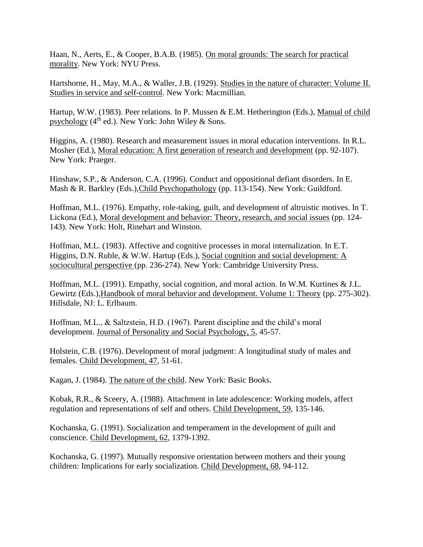Haan, N., Aerts, E., & Cooper, B.A.B. (1985). On moral grounds: The search for practical morality. New York: NYU Press.

Hartshorne, H., May, M.A., & Waller, J.B. (1929). Studies in the nature of character: Volume II. Studies in service and self-control. New York: Macmillian.

Hartup, W.W. (1983). Peer relations. In P. Mussen & E.M. Hetherington (Eds.), Manual of child psychology ( $4^{th}$  ed.). New York: John Wiley & Sons.

Higgins, A. (1980). Research and measurement issues in moral education interventions. In R.L. Mosher (Ed.), Moral education: A first generation of research and development (pp. 92-107). New York: Praeger.

Hinshaw, S.P., & Anderson, C.A. (1996). Conduct and oppositional defiant disorders. In E. Mash & R. Barkley (Eds.),Child Psychopathology (pp. 113-154). New York: Guildford.

Hoffman, M.L. (1976). Empathy, role-taking, guilt, and development of altruistic motives. In T. Lickona (Ed.), Moral development and behavior: Theory, research, and social issues (pp. 124- 143). New York: Holt, Rinehart and Winston.

Hoffman, M.L. (1983). Affective and cognitive processes in moral internalization. In E.T. Higgins, D.N. Ruble, & W.W. Hartup (Eds.), Social cognition and social development: A sociocultural perspective (pp. 236-274). New York: Cambridge University Press.

Hoffman, M.L. (1991). Empathy, social cognition, and moral action. In W.M. Kurtines & J.L. Gewirtz (Eds.),Handbook of moral behavior and development. Volume 1: Theory (pp. 275-302). Hillsdale, NJ: L. Erlbaum.

Hoffman, M.L., & Saltzstein, H.D. (1967). Parent discipline and the child's moral development. Journal of Personality and Social Psychology, 5, 45-57.

Holstein, C.B. (1976). Development of moral judgment: A longitudinal study of males and females. Child Development, 47, 51-61.

Kagan, J. (1984). The nature of the child. New York: Basic Books.

Kobak, R.R., & Sceery, A. (1988). Attachment in late adolescence: Working models, affect regulation and representations of self and others. Child Development, 59, 135-146.

Kochanska, G. (1991). Socialization and temperament in the development of guilt and conscience. Child Development, 62, 1379-1392.

Kochanska, G. (1997). Mutually responsive orientation between mothers and their young children: Implications for early socialization. Child Development, 68, 94-112.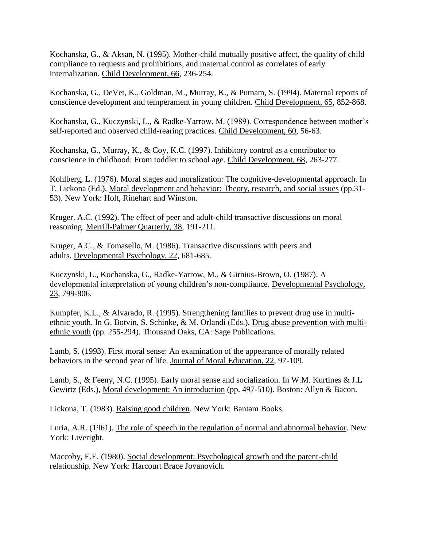Kochanska, G., & Aksan, N. (1995). Mother-child mutually positive affect, the quality of child compliance to requests and prohibitions, and maternal control as correlates of early internalization. Child Development, 66, 236-254.

Kochanska, G., DeVet, K., Goldman, M., Murray, K., & Putnam, S. (1994). Maternal reports of conscience development and temperament in young children. Child Development, 65, 852-868.

Kochanska, G., Kuczynski, L., & Radke-Yarrow, M. (1989). Correspondence between mother's self-reported and observed child-rearing practices. Child Development, 60, 56-63.

Kochanska, G., Murray, K., & Coy, K.C. (1997). Inhibitory control as a contributor to conscience in childhood: From toddler to school age. Child Development, 68, 263-277.

Kohlberg, L. (1976). Moral stages and moralization: The cognitive-developmental approach. In T. Lickona (Ed.), Moral development and behavior: Theory, research, and social issues (pp.31- 53). New York: Holt, Rinehart and Winston.

Kruger, A.C. (1992). The effect of peer and adult-child transactive discussions on moral reasoning. Merrill-Palmer Quarterly, 38, 191-211.

Kruger, A.C., & Tomasello, M. (1986). Transactive discussions with peers and adults. Developmental Psychology, 22, 681-685.

Kuczynski, L., Kochanska, G., Radke-Yarrow, M., & Girnius-Brown, O. (1987). A developmental interpretation of young children's non-compliance. Developmental Psychology, 23, 799-806.

Kumpfer, K.L., & Alvarado, R. (1995). Strengthening families to prevent drug use in multiethnic youth. In G. Botvin, S. Schinke, & M. Orlandi (Eds.), Drug abuse prevention with multiethnic youth (pp. 255-294). Thousand Oaks, CA: Sage Publications.

Lamb, S. (1993). First moral sense: An examination of the appearance of morally related behaviors in the second year of life. Journal of Moral Education, 22, 97-109.

Lamb, S., & Feeny, N.C. (1995). Early moral sense and socialization. In W.M. Kurtines & J.L Gewirtz (Eds.), Moral development: An introduction (pp. 497-510). Boston: Allyn & Bacon.

Lickona, T. (1983). Raising good children. New York: Bantam Books.

Luria, A.R. (1961). The role of speech in the regulation of normal and abnormal behavior. New York: Liveright.

Maccoby, E.E. (1980). Social development: Psychological growth and the parent-child relationship. New York: Harcourt Brace Jovanovich.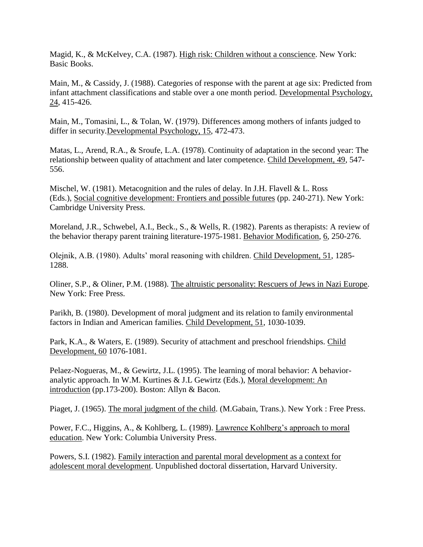Magid, K., & McKelvey, C.A. (1987). High risk: Children without a conscience. New York: Basic Books.

Main, M., & Cassidy, J. (1988). Categories of response with the parent at age six: Predicted from infant attachment classifications and stable over a one month period. Developmental Psychology, 24, 415-426.

Main, M., Tomasini, L., & Tolan, W. (1979). Differences among mothers of infants judged to differ in security.Developmental Psychology, 15, 472-473.

Matas, L., Arend, R.A., & Sroufe, L.A. (1978). Continuity of adaptation in the second year: The relationship between quality of attachment and later competence. Child Development, 49, 547- 556.

Mischel, W. (1981). Metacognition and the rules of delay. In J.H. Flavell & L. Ross (Eds.), Social cognitive development: Frontiers and possible futures (pp. 240-271). New York: Cambridge University Press.

Moreland, J.R., Schwebel, A.I., Beck., S., & Wells, R. (1982). Parents as therapists: A review of the behavior therapy parent training literature-1975-1981. Behavior Modification, 6, 250-276.

Olejnik, A.B. (1980). Adults' moral reasoning with children. Child Development, 51, 1285- 1288.

Oliner, S.P., & Oliner, P.M. (1988). The altruistic personality: Rescuers of Jews in Nazi Europe. New York: Free Press.

Parikh, B. (1980). Development of moral judgment and its relation to family environmental factors in Indian and American families. Child Development, 51, 1030-1039.

Park, K.A., & Waters, E. (1989). Security of attachment and preschool friendships. Child Development, 60 1076-1081.

Pelaez-Nogueras, M., & Gewirtz, J.L. (1995). The learning of moral behavior: A behavioranalytic approach. In W.M. Kurtines & J.L Gewirtz (Eds.), Moral development: An introduction (pp.173-200). Boston: Allyn & Bacon.

Piaget, J. (1965). The moral judgment of the child. (M.Gabain, Trans.). New York : Free Press.

Power, F.C., Higgins, A., & Kohlberg, L. (1989). Lawrence Kohlberg's approach to moral education. New York: Columbia University Press.

Powers, S.I. (1982). Family interaction and parental moral development as a context for adolescent moral development. Unpublished doctoral dissertation, Harvard University.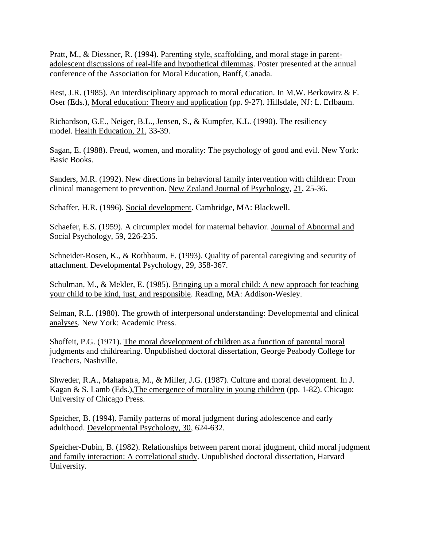Pratt, M., & Diessner, R. (1994). Parenting style, scaffolding, and moral stage in parentadolescent discussions of real-life and hypothetical dilemmas. Poster presented at the annual conference of the Association for Moral Education, Banff, Canada.

Rest, J.R. (1985). An interdisciplinary approach to moral education. In M.W. Berkowitz & F. Oser (Eds.), Moral education: Theory and application (pp. 9-27). Hillsdale, NJ: L. Erlbaum.

Richardson, G.E., Neiger, B.L., Jensen, S., & Kumpfer, K.L. (1990). The resiliency model. Health Education, 21, 33-39.

Sagan, E. (1988). Freud, women, and morality: The psychology of good and evil. New York: Basic Books.

Sanders, M.R. (1992). New directions in behavioral family intervention with children: From clinical management to prevention. New Zealand Journal of Psychology, 21, 25-36.

Schaffer, H.R. (1996). Social development. Cambridge, MA: Blackwell.

Schaefer, E.S. (1959). A circumplex model for maternal behavior. Journal of Abnormal and Social Psychology, 59, 226-235.

Schneider-Rosen, K., & Rothbaum, F. (1993). Quality of parental caregiving and security of attachment. Developmental Psychology, 29, 358-367.

Schulman, M., & Mekler, E. (1985). Bringing up a moral child: A new approach for teaching your child to be kind, just, and responsible. Reading, MA: Addison-Wesley.

Selman, R.L. (1980). The growth of interpersonal understanding: Developmental and clinical analyses. New York: Academic Press.

Shoffeit, P.G. (1971). The moral development of children as a function of parental moral judgments and childrearing. Unpublished doctoral dissertation, George Peabody College for Teachers, Nashville.

Shweder, R.A., Mahapatra, M., & Miller, J.G. (1987). Culture and moral development. In J. Kagan & S. Lamb (Eds.),The emergence of morality in young children (pp. 1-82). Chicago: University of Chicago Press.

Speicher, B. (1994). Family patterns of moral judgment during adolescence and early adulthood. Developmental Psychology, 30, 624-632.

Speicher-Dubin, B. (1982). Relationships between parent moral jdugment, child moral judgment and family interaction: A correlational study. Unpublished doctoral dissertation, Harvard University.